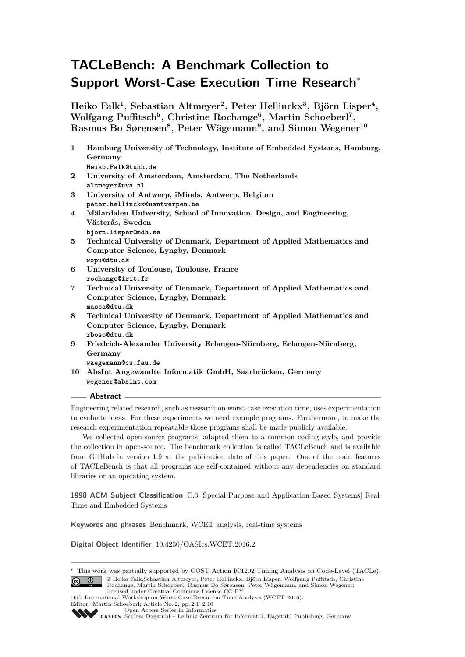# **TACLeBench: A Benchmark Collection to Support Worst-Case Execution Time Research**<sup>∗</sup>

**Heiko Falk<sup>1</sup> , Sebastian Altmeyer<sup>2</sup> , Peter Hellinckx<sup>3</sup> , Björn Lisper<sup>4</sup> , Wolfgang Puffitsch<sup>5</sup> , Christine Rochange<sup>6</sup> , Martin Schoeberl<sup>7</sup> , Rasmus Bo Sørensen<sup>8</sup> , Peter Wägemann<sup>9</sup> , and Simon Wegener<sup>10</sup>**

- **1 Hamburg University of Technology, Institute of Embedded Systems, Hamburg, Germany Heiko.Falk@tuhh.de**
- **2 University of Amsterdam, Amsterdam, The Netherlands altmeyer@uva.nl**
- **3 University of Antwerp, iMinds, Antwerp, Belgium peter.hellinckx@uantwerpen.be**
- **4 Mälardalen University, School of Innovation, Design, and Engineering, Västerås, Sweden bjorn.lisper@mdh.se**
- **5 Technical University of Denmark, Department of Applied Mathematics and Computer Science, Lyngby, Denmark wopu@dtu.dk**
- **6 University of Toulouse, Toulouse, France rochange@irit.fr**
- **7 Technical University of Denmark, Department of Applied Mathematics and Computer Science, Lyngby, Denmark masca@dtu.dk**
- **8 Technical University of Denmark, Department of Applied Mathematics and Computer Science, Lyngby, Denmark rboso@dtu.dk**
- **9 Friedrich-Alexander University Erlangen-Nürnberg, Erlangen-Nürnberg, Germany**

**waegemann@cs.fau.de**

**10 AbsInt Angewandte Informatik GmbH, Saarbrücken, Germany wegener@absint.com**

## **Abstract**

Engineering related research, such as research on worst-case execution time, uses experimentation to evaluate ideas. For these experiments we need example programs. Furthermore, to make the research experimentation repeatable those programs shall be made publicly available.

We collected open-source programs, adapted them to a common coding style, and provide the collection in open-source. The benchmark collection is called TACLeBench and is available from GitHub in version 1.9 at the publication date of this paper. One of the main features of TACLeBench is that all programs are self-contained without any dependencies on standard libraries or an operating system.

**1998 ACM Subject Classification** C.3 [Special-Purpose and Application-Based Systems] Real-Time and Embedded Systems

**Keywords and phrases** Benchmark, WCET analysis, real-time systems

**Digital Object Identifier** [10.4230/OASIcs.WCET.2016.2](http://dx.doi.org/10.4230/OASIcs.WCET.2016.2)

[Schloss Dagstuhl – Leibniz-Zentrum für Informatik, Dagstuhl Publishing, Germany](http://www.dagstuhl.de)

<sup>∗</sup> This work was partially supported by COST Action IC1202 Timing Analysis on Code-Level (TACLe). © Heiko Falk,Sebastian Altmeyer, Peter Hellinckx, Björn Lisper, Wolfgang Puffitsch, Christine  $\boxed{6}$  0 Rochange, Martin Schoeberl, Rasmus Bo Sørensen, Peter Wägemann, and Simon Wegener; licensed under Creative Commons License CC-BY

<sup>16</sup>th International Workshop on Worst-Case Execution Time Analysis (WCET 2016). Editor: Martin Schoeberl; Article No. 2; pp. 2:1–2[:10](#page-9-0)

[Open Access Series in Informatics](http://www.dagstuhl.de/oasics/)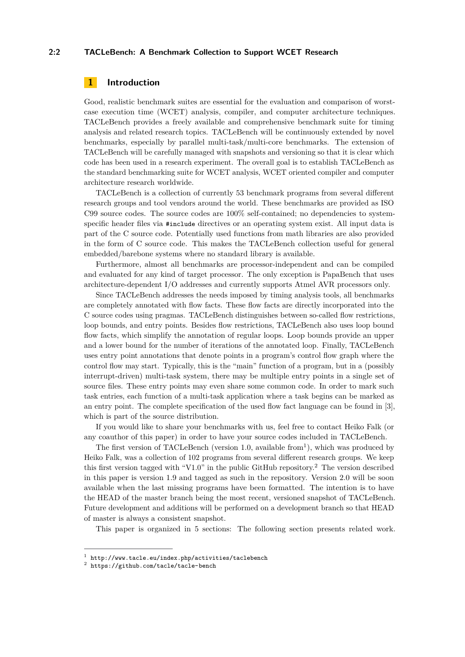## **2:2 TACLeBench: A Benchmark Collection to Support WCET Research**

# **1 Introduction**

Good, realistic benchmark suites are essential for the evaluation and comparison of worstcase execution time (WCET) analysis, compiler, and computer architecture techniques. TACLeBench provides a freely available and comprehensive benchmark suite for timing analysis and related research topics. TACLeBench will be continuously extended by novel benchmarks, especially by parallel multi-task/multi-core benchmarks. The extension of TACLeBench will be carefully managed with snapshots and versioning so that it is clear which code has been used in a research experiment. The overall goal is to establish TACLeBench as the standard benchmarking suite for WCET analysis, WCET oriented compiler and computer architecture research worldwide.

TACLeBench is a collection of currently 53 benchmark programs from several different research groups and tool vendors around the world. These benchmarks are provided as ISO C99 source codes. The source codes are 100% self-contained; no dependencies to systemspecific header files via #include directives or an operating system exist. All input data is part of the C source code. Potentially used functions from math libraries are also provided in the form of C source code. This makes the TACLeBench collection useful for general embedded/barebone systems where no standard library is available.

Furthermore, almost all benchmarks are processor-independent and can be compiled and evaluated for any kind of target processor. The only exception is PapaBench that uses architecture-dependent I/O addresses and currently supports Atmel AVR processors only.

Since TACLeBench addresses the needs imposed by timing analysis tools, all benchmarks are completely annotated with flow facts. These flow facts are directly incorporated into the C source codes using pragmas. TACLeBench distinguishes between so-called flow restrictions, loop bounds, and entry points. Besides flow restrictions, TACLeBench also uses loop bound flow facts, which simplify the annotation of regular loops. Loop bounds provide an upper and a lower bound for the number of iterations of the annotated loop. Finally, TACLeBench uses entry point annotations that denote points in a program's control flow graph where the control flow may start. Typically, this is the "main" function of a program, but in a (possibly interrupt-driven) multi-task system, there may be multiple entry points in a single set of source files. These entry points may even share some common code. In order to mark such task entries, each function of a multi-task application where a task begins can be marked as an entry point. The complete specification of the used flow fact language can be found in [\[3\]](#page-9-1), which is part of the source distribution.

If you would like to share your benchmarks with us, feel free to contact Heiko Falk (or any coauthor of this paper) in order to have your source codes included in TACLeBench.

The first version of TACLeBench (version [1](#page-1-0).0, available from<sup>1</sup>), which was produced by Heiko Falk, was a collection of 102 programs from several different research groups. We keep this first version tagged with "V1.0" in the public GitHub repository.<sup>[2](#page-1-1)</sup> The version described in this paper is version 1.9 and tagged as such in the repository. Version 2.0 will be soon available when the last missing programs have been formatted. The intention is to have the HEAD of the master branch being the most recent, versioned snapshot of TACLeBench. Future development and additions will be performed on a development branch so that HEAD of master is always a consistent snapshot.

This paper is organized in 5 sections: The following section presents related work.

<span id="page-1-0"></span> $^{\rm 1}$  <http://www.tacle.eu/index.php/activities/taclebench>

<span id="page-1-1"></span> $^2$  <https://github.com/tacle/tacle-bench>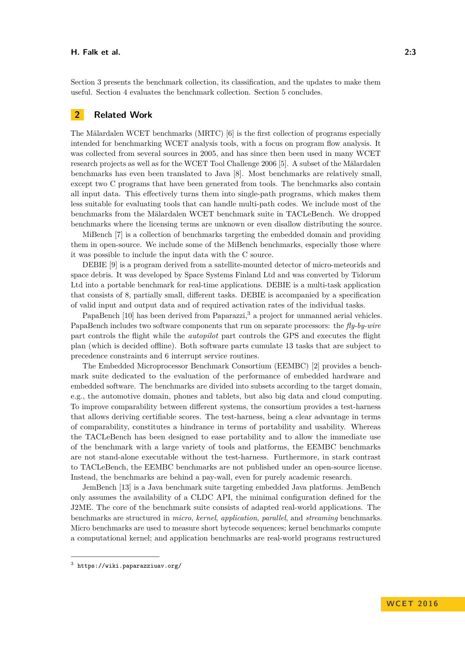#### **H. Falk et al. 2:3**

Section [3](#page-3-0) presents the benchmark collection, its classification, and the updates to make them useful. Section [4](#page-7-0) evaluates the benchmark collection. Section [5](#page-8-0) concludes.

# **2 Related Work**

The Mälardalen WCET benchmarks (MRTC) [\[6\]](#page-9-2) is the first collection of programs especially intended for benchmarking WCET analysis tools, with a focus on program flow analysis. It was collected from several sources in 2005, and has since then been used in many WCET research projects as well as for the WCET Tool Challenge 2006 [\[5\]](#page-9-3). A subset of the Mälardalen benchmarks has even been translated to Java [\[8\]](#page-9-4). Most benchmarks are relatively small, except two C programs that have been generated from tools. The benchmarks also contain all input data. This effectively turns them into single-path programs, which makes them less suitable for evaluating tools that can handle multi-path codes. We include most of the benchmarks from the Mälardalen WCET benchmark suite in TACLeBench. We dropped benchmarks where the licensing terms are unknown or even disallow distributing the source.

MiBench [\[7\]](#page-9-5) is a collection of benchmarks targeting the embedded domain and providing them in open-source. We include some of the MiBench benchmarks, especially those where it was possible to include the input data with the C source.

DEBIE [\[9\]](#page-9-6) is a program derived from a satellite-mounted detector of micro-meteorids and space debris. It was developed by Space Systems Finland Ltd and was converted by Tidorum Ltd into a portable benchmark for real-time applications. DEBIE is a multi-task application that consists of 8, partially small, different tasks. DEBIE is accompanied by a specification of valid input and output data and of required activation rates of the individual tasks.

PapaBench [\[10\]](#page-9-7) has been derived from Paparazzi,<sup>[3](#page-2-0)</sup> a project for unmanned aerial vehicles. PapaBench includes two software components that run on separate processors: the *fly-by-wire* part controls the flight while the *autopilot* part controls the GPS and executes the flight plan (which is decided offline). Both software parts cumulate 13 tasks that are subject to precedence constraints and 6 interrupt service routines.

The Embedded Microprocessor Benchmark Consortium (EEMBC) [\[2\]](#page-9-8) provides a benchmark suite dedicated to the evaluation of the performance of embedded hardware and embedded software. The benchmarks are divided into subsets according to the target domain, e.g., the automotive domain, phones and tablets, but also big data and cloud computing. To improve comparability between different systems, the consortium provides a test-harness that allows deriving certifiable scores. The test-harness, being a clear advantage in terms of comparability, constitutes a hindrance in terms of portability and usability. Whereas the TACLeBench has been designed to ease portability and to allow the immediate use of the benchmark with a large variety of tools and platforms, the EEMBC benchmarks are not stand-alone executable without the test-harness. Furthermore, in stark contrast to TACLeBench, the EEMBC benchmarks are not published under an open-source license. Instead, the benchmarks are behind a pay-wall, even for purely academic research.

JemBench [\[13\]](#page-9-9) is a Java benchmark suite targeting embedded Java platforms. JemBench only assumes the availability of a CLDC API, the minimal configuration defined for the J2ME. The core of the benchmark suite consists of adapted real-world applications. The benchmarks are structured in *micro*, *kernel*, *application*, *parallel*, and *streaming* benchmarks. Micro benchmarks are used to measure short bytecode sequences; kernel benchmarks compute a computational kernel; and application benchmarks are real-world programs restructured

<span id="page-2-0"></span> $^3$  <https://wiki.paparazziuav.org/>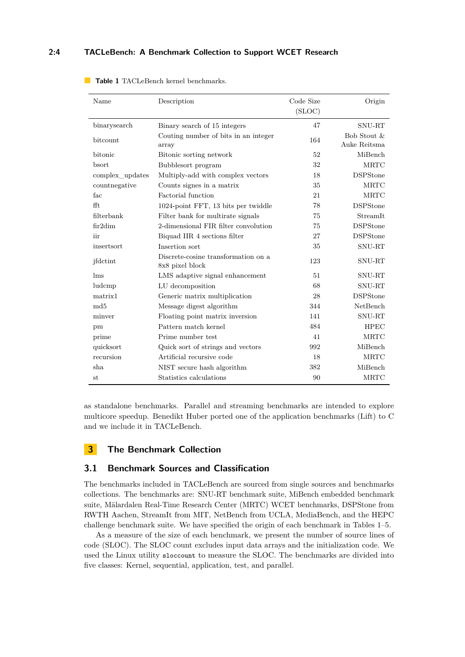## **2:4 TACLeBench: A Benchmark Collection to Support WCET Research**

| Name                       | Description                                            | Code Size<br>(SLOC) | Origin                      |
|----------------------------|--------------------------------------------------------|---------------------|-----------------------------|
| binarysearch               | Binary search of 15 integers                           | 47                  | SNU-RT                      |
| bitcount                   | Couting number of bits in an integer<br>array          | 164                 | Bob Stout &<br>Auke Reitsma |
| bitonic                    | Bitonic sorting network                                | 52                  | MiBench                     |
| bsort                      | Bubblesort program                                     | 32                  | MRTC                        |
| complex updates            | Multiply-add with complex vectors                      | 18                  | <b>DSPStone</b>             |
| countnegative              | Counts signes in a matrix                              | 35                  | <b>MRTC</b>                 |
| fac                        | Factorial function                                     | 21                  | MRTC                        |
| fft                        | 1024-point FFT, 13 bits per twiddle                    | 78                  | <b>DSPStone</b>             |
| filterbank                 | Filter bank for multirate signals                      | 75                  | StreamIt                    |
| fir2dim                    | 2-dimensional FIR filter convolution                   | 75                  | <b>DSPStone</b>             |
| iir                        | Biquad IIR 4 sections filter                           | 27                  | <b>DSPStone</b>             |
| insertsort                 | Insertion sort                                         | 35                  | SNU-RT                      |
| jfdctint                   | Discrete-cosine transformation on a<br>8x8 pixel block | 123                 | SNU-RT                      |
| $\mathop{\rm Im}\nolimits$ | LMS adaptive signal enhancement                        | 51                  | SNU-RT                      |
| ludcmp                     | LU decomposition                                       | 68                  | SNU-RT                      |
| matrix1                    | Generic matrix multiplication                          | 28                  | <b>DSPStone</b>             |
| md <sub>5</sub>            | Message digest algorithm                               | 344                 | NetBench                    |
| minver                     | Floating point matrix inversion                        | 141                 | SNU-RT                      |
| pm                         | Pattern match kernel                                   | 484                 | <b>HPEC</b>                 |
| prime                      | Prime number test                                      | 41                  | MRTC                        |
| quicksort                  | Quick sort of strings and vectors                      | 992                 | MiBench                     |
| recursion                  | Artificial recursive code                              | 18                  | MRTC                        |
| sha                        | NIST secure hash algorithm                             | 382                 | MiBench                     |
| st                         | Statistics calculations                                | 90                  | <b>MRTC</b>                 |

<span id="page-3-1"></span>**Table 1** TACLeBench kernel benchmarks.

as standalone benchmarks. Parallel and streaming benchmarks are intended to explore multicore speedup. Benedikt Huber ported one of the application benchmarks (Lift) to C and we include it in TACLeBench.

# <span id="page-3-0"></span>**3 The Benchmark Collection**

## **3.1 Benchmark Sources and Classification**

The benchmarks included in TACLeBench are sourced from single sources and benchmarks collections. The benchmarks are: SNU-RT benchmark suite, MiBench embedded benchmark suite, Mälardalen Real-Time Research Center (MRTC) WCET benchmarks, DSPStone from RWTH Aachen, StreamIt from MIT, NetBench from UCLA, MediaBench, and the HEPC challenge benchmark suite. We have specified the origin of each benchmark in Tables [1–](#page-3-1)[5.](#page-6-0)

As a measure of the size of each benchmark, we present the number of source lines of code (SLOC). The SLOC count excludes input data arrays and the initialization code. We used the Linux utility sloccount to measure the SLOC. The benchmarks are divided into five classes: Kernel, sequential, application, test, and parallel.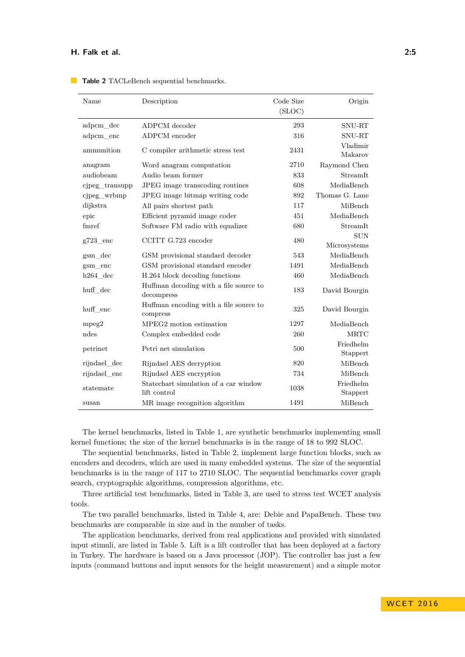| Name           | Description                                           | Code Size | Origin                     |
|----------------|-------------------------------------------------------|-----------|----------------------------|
|                |                                                       | (SLOC)    |                            |
| adpcm_dec      | ADPCM decoder                                         | 293       | SNU-RT                     |
| adpcm enc      | ADPCM encoder                                         | 316       | SNU-RT                     |
| ammunition     | C compiler arithmetic stress test                     | 2431      | Vladimir<br>Makarov        |
| anagram        | Word anagram computation                              | 2710      | Raymond Chen               |
| audiobeam      | Audio beam former                                     | 833       | StreamIt                   |
| cjpeg_transupp | JPEG image transcoding routines                       | 608       | MediaBench                 |
| cjpeg_wrbmp    | JPEG image bitmap writing code                        | 892       | Thomas G. Lane             |
| dijkstra       | All pairs shortest path                               | 117       | MiBench                    |
| epic           | Efficient pyramid image coder                         | 451       | MediaBench                 |
| fmref          | Software FM radio with equalizer                      | 680       | StreamIt                   |
| $g723$ enc     | CCITT G.723 encoder                                   | 480       | <b>SUN</b><br>Microsystems |
| gsm dec        | GSM provisional standard decoder                      | 543       | MediaBench                 |
| $g\rm sm\_enc$ | GSM provisional standard encoder                      | 1491      | MediaBench                 |
| $h264$ dec     | H.264 block decoding functions                        | 460       | MediaBench                 |
| huff dec       | Huffman decoding with a file source to<br>decompress  | 183       | David Bourgin              |
| huff enc       | Huffman encoding with a file source to<br>compress    | 325       | David Bourgin              |
| mpeg2          | MPEG2 motion estimation                               | 1297      | MediaBench                 |
| ndes           | Complex embedded code                                 | 260       | <b>MRTC</b>                |
| petrinet       | Petri net simulation                                  | 500       | Friedhelm<br>Stappert      |
| rijndael_dec   | Rijndael AES decryption                               | 820       | MiBench                    |
| rijndael_enc   | Rijndael AES encryption                               | 734       | MiBench                    |
| statemate      | Statechart simulation of a car window<br>lift control | 1038      | Friedhelm<br>Stappert      |
| susan          | MR image recognition algorithm                        | 1491      | MiBench                    |

<span id="page-4-0"></span>**Table 2** TACLeBench sequential benchmarks.

The kernel benchmarks, listed in Table [1,](#page-3-1) are synthetic benchmarks implementing small kernel functions; the size of the kernel benchmarks is in the range of 18 to 992 SLOC.

The sequential benchmarks, listed in Table [2,](#page-4-0) implement large function blocks, such as encoders and decoders, which are used in many embedded systems. The size of the sequential benchmarks is in the range of 117 to 2710 SLOC. The sequential benchmarks cover graph search, cryptographic algorithms, compression algorithms, etc.

Three artificial test benchmarks, listed in Table [3,](#page-5-0) are used to stress test WCET analysis tools.

The two parallel benchmarks, listed in Table [4,](#page-5-1) are: Debie and PapaBench. These two benchmarks are comparable in size and in the number of tasks.

The application benchmarks, derived from real applications and provided with simulated input stimuli, are listed in Table [5.](#page-6-0) Lift is a lift controller that has been deployed at a factory in Turkey. The hardware is based on a Java processor (JOP). The controller has just a few inputs (command buttons and input sensors for the height measurement) and a simple motor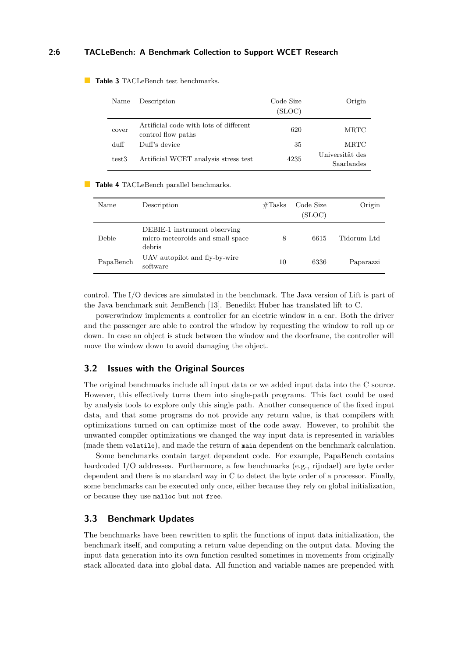## **2:6 TACLeBench: A Benchmark Collection to Support WCET Research**

| Name  | Description                                                  | Code Size<br>(SLOC) | Origin                        |
|-------|--------------------------------------------------------------|---------------------|-------------------------------|
| cover | Artificial code with lots of different<br>control flow paths | 620                 | MRTC                          |
| duff  | Duff's device                                                | 35                  | MRTC                          |
| test3 | Artificial WCET analysis stress test                         | 4235                | Universität des<br>Saarlandes |

<span id="page-5-0"></span>**Table 3** TACLeBench test benchmarks.

#### <span id="page-5-1"></span>**Table 4** TACLeBench parallel benchmarks.

| Name      | Description                                                                | $\#\text{Tasks}$ | Code Size<br>(SLOC) | Origin      |
|-----------|----------------------------------------------------------------------------|------------------|---------------------|-------------|
| Debie     | DEBIE-1 instrument observing<br>micro-meteoroids and small space<br>debris | 8                | 6615                | Tidorum Ltd |
| PapaBench | UAV autopilot and fly-by-wire<br>software                                  | 10               | 6336                | Paparazzi   |

control. The I/O devices are simulated in the benchmark. The Java version of Lift is part of the Java benchmark suit JemBench [\[13\]](#page-9-9). Benedikt Huber has translated lift to C.

powerwindow implements a controller for an electric window in a car. Both the driver and the passenger are able to control the window by requesting the window to roll up or down. In case an object is stuck between the window and the doorframe, the controller will move the window down to avoid damaging the object.

#### **3.2 Issues with the Original Sources**

The original benchmarks include all input data or we added input data into the C source. However, this effectively turns them into single-path programs. This fact could be used by analysis tools to explore only this single path. Another consequence of the fixed input data, and that some programs do not provide any return value, is that compilers with optimizations turned on can optimize most of the code away. However, to prohibit the unwanted compiler optimizations we changed the way input data is represented in variables (made them volatile), and made the return of main dependent on the benchmark calculation.

Some benchmarks contain target dependent code. For example, PapaBench contains hardcoded I/O addresses. Furthermore, a few benchmarks (e.g., rijndael) are byte order dependent and there is no standard way in C to detect the byte order of a processor. Finally, some benchmarks can be executed only once, either because they rely on global initialization, or because they use malloc but not free.

## **3.3 Benchmark Updates**

The benchmarks have been rewritten to split the functions of input data initialization, the benchmark itself, and computing a return value depending on the output data. Moving the input data generation into its own function resulted sometimes in movements from originally stack allocated data into global data. All function and variable names are prepended with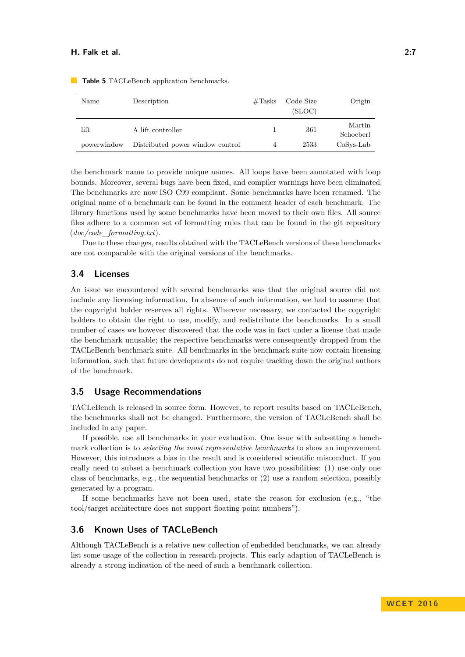| Name        | Description                      | $\#\text{Tasks}$ | Code Size | Origin              |
|-------------|----------------------------------|------------------|-----------|---------------------|
|             |                                  |                  | (SLOC)    |                     |
| lift        | A lift controller                |                  | 361       | Martin<br>Schoeberl |
| powerwindow | Distributed power window control | 4                | 2533      | $CoSys$ -Lab        |

<span id="page-6-0"></span>**Table 5** TACLeBench application benchmarks.

the benchmark name to provide unique names. All loops have been annotated with loop bounds. Moreover, several bugs have been fixed, and compiler warnings have been eliminated. The benchmarks are now ISO C99 compliant. Some benchmarks have been renamed. The original name of a benchmark can be found in the comment header of each benchmark. The library functions used by some benchmarks have been moved to their own files. All source files adhere to a common set of formatting rules that can be found in the git repository (*doc/code\_formatting.txt*).

Due to these changes, results obtained with the TACLeBench versions of these benchmarks are not comparable with the original versions of the benchmarks.

## **3.4 Licenses**

An issue we encountered with several benchmarks was that the original source did not include any licensing information. In absence of such information, we had to assume that the copyright holder reserves all rights. Wherever necessary, we contacted the copyright holders to obtain the right to use, modify, and redistribute the benchmarks. In a small number of cases we however discovered that the code was in fact under a license that made the benchmark unusable; the respective benchmarks were consequently dropped from the TACLeBench benchmark suite. All benchmarks in the benchmark suite now contain licensing information, such that future developments do not require tracking down the original authors of the benchmark.

## **3.5 Usage Recommendations**

TACLeBench is released in source form. However, to report results based on TACLeBench, the benchmarks shall not be changed. Furthermore, the version of TACLeBench shall be included in any paper.

If possible, use all benchmarks in your evaluation. One issue with subsetting a benchmark collection is to *selecting the most representative benchmarks* to show an improvement. However, this introduces a bias in the result and is considered scientific misconduct. If you really need to subset a benchmark collection you have two possibilities: (1) use only one class of benchmarks, e.g., the sequential benchmarks or (2) use a random selection, possibly generated by a program.

If some benchmarks have not been used, state the reason for exclusion (e.g., "the tool/target architecture does not support floating point numbers").

## **3.6 Known Uses of TACLeBench**

Although TACLeBench is a relative new collection of embedded benchmarks, we can already list some usage of the collection in research projects. This early adaption of TACLeBench is already a strong indication of the need of such a benchmark collection.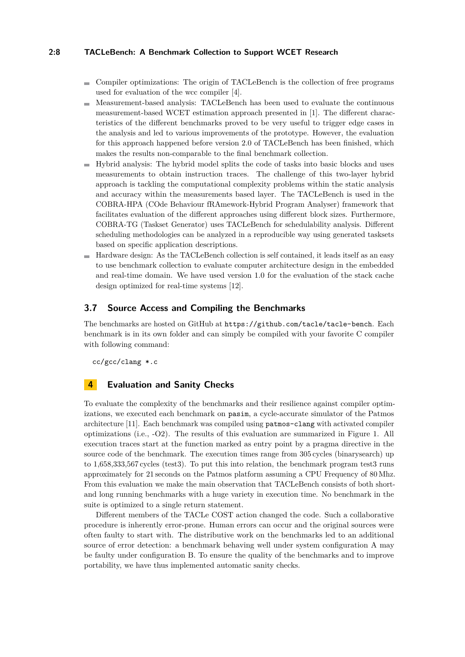## **2:8 TACLeBench: A Benchmark Collection to Support WCET Research**

- Compiler optimizations: The origin of TACLeBench is the collection of free programs used for evaluation of the wcc compiler [\[4\]](#page-9-10).
- Measurement-based analysis: TACLeBench has been used to evaluate the continuous  $\sim$ measurement-based WCET estimation approach presented in [\[1\]](#page-8-1). The different characteristics of the different benchmarks proved to be very useful to trigger edge cases in the analysis and led to various improvements of the prototype. However, the evaluation for this approach happened before version 2.0 of TACLeBench has been finished, which makes the results non-comparable to the final benchmark collection.
- $\blacksquare$  Hybrid analysis: The hybrid model splits the code of tasks into basic blocks and uses measurements to obtain instruction traces. The challenge of this two-layer hybrid approach is tackling the computational complexity problems within the static analysis and accuracy within the measurements based layer. The TACLeBench is used in the COBRA-HPA (COde Behaviour fRAmework-Hybrid Program Analyser) framework that facilitates evaluation of the different approaches using different block sizes. Furthermore, COBRA-TG (Taskset Generator) uses TACLeBench for schedulability analysis. Different scheduling methodologies can be analyzed in a reproducible way using generated tasksets based on specific application descriptions.
- Hardware design: As the TACLeBench collection is self contained, it leads itself as an easy to use benchmark collection to evaluate computer architecture design in the embedded and real-time domain. We have used version 1.0 for the evaluation of the stack cache design optimized for real-time systems [\[12\]](#page-9-11).

## **3.7 Source Access and Compiling the Benchmarks**

The benchmarks are hosted on GitHub at <https://github.com/tacle/tacle-bench>. Each benchmark is in its own folder and can simply be compiled with your favorite C compiler with following command:

cc/gcc/clang \*.c

## <span id="page-7-0"></span>**4 Evaluation and Sanity Checks**

To evaluate the complexity of the benchmarks and their resilience against compiler optimizations, we executed each benchmark on pasim, a cycle-accurate simulator of the Patmos architecture [\[11\]](#page-9-12). Each benchmark was compiled using patmos-clang with activated compiler optimizations (i.e., -O2). The results of this evaluation are summarized in Figure [1.](#page-8-2) All execution traces start at the function marked as entry point by a pragma directive in the source code of the benchmark. The execution times range from 305 cycles (binarysearch) up to 1,658,333,567 cycles (test3). To put this into relation, the benchmark program test3 runs approximately for 21 seconds on the Patmos platform assuming a CPU Frequency of 80 Mhz. From this evaluation we make the main observation that TACLeBench consists of both shortand long running benchmarks with a huge variety in execution time. No benchmark in the suite is optimized to a single return statement.

Different members of the TACLe COST action changed the code. Such a collaborative procedure is inherently error-prone. Human errors can occur and the original sources were often faulty to start with. The distributive work on the benchmarks led to an additional source of error detection: a benchmark behaving well under system configuration A may be faulty under configuration B. To ensure the quality of the benchmarks and to improve portability, we have thus implemented automatic sanity checks.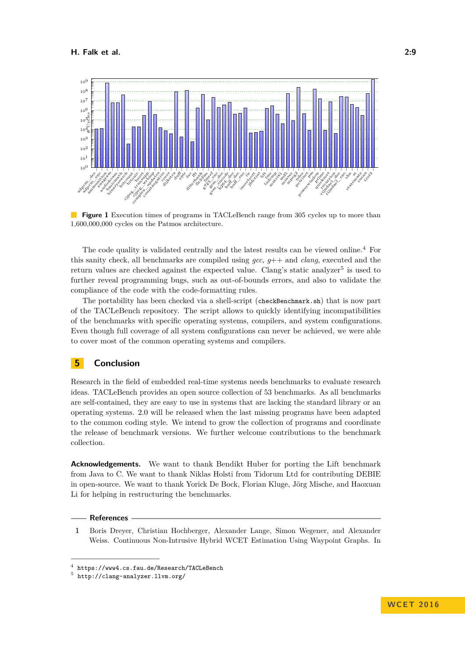<span id="page-8-2"></span>

**Figure 1** Execution times of programs in TACLeBench range from 305 cycles up to more than 1,600,000,000 cycles on the Patmos architecture.

The code quality is validated centrally and the latest results can be viewed online.[4](#page-8-3) For this sanity check, all benchmarks are compiled using *gcc*, *g*++ and *clang*, executed and the return values are checked against the expected value. Clang's static analyzer<sup>[5](#page-8-4)</sup> is used to further reveal programming bugs, such as out-of-bounds errors, and also to validate the compliance of the code with the code-formatting rules.

The portability has been checked via a shell-script (checkBenchmark.sh) that is now part of the TACLeBench repository. The script allows to quickly identifying incompatibilities of the benchmarks with specific operating systems, compilers, and system configurations. Even though full coverage of all system configurations can never be achieved, we were able to cover most of the common operating systems and compilers.

# <span id="page-8-0"></span>**5 Conclusion**

Research in the field of embedded real-time systems needs benchmarks to evaluate research ideas. TACLeBench provides an open source collection of 53 benchmarks. As all benchmarks are self-contained, they are easy to use in systems that are lacking the standard library or an operating systems. 2.0 will be released when the last missing programs have been adapted to the common coding style. We intend to grow the collection of programs and coordinate the release of benchmark versions. We further welcome contributions to the benchmark collection.

**Acknowledgements.** We want to thank Bendikt Huber for porting the Lift benchmark from Java to C. We want to thank Niklas Holsti from Tidorum Ltd for contributing DEBIE in open-source. We want to thank Yorick De Bock, Florian Kluge, Jörg Mische, and Haoxuan Li for helping in restructuring the benchmarks.

#### **References**

<span id="page-8-1"></span>**1** Boris Dreyer, Christian Hochberger, Alexander Lange, Simon Wegener, and Alexander Weiss. Continuous Non-Intrusive Hybrid WCET Estimation Using Waypoint Graphs. In

<span id="page-8-3"></span><sup>4</sup> <https://www4.cs.fau.de/Research/TACLeBench>

<span id="page-8-4"></span><sup>5</sup> <http://clang-analyzer.llvm.org/>